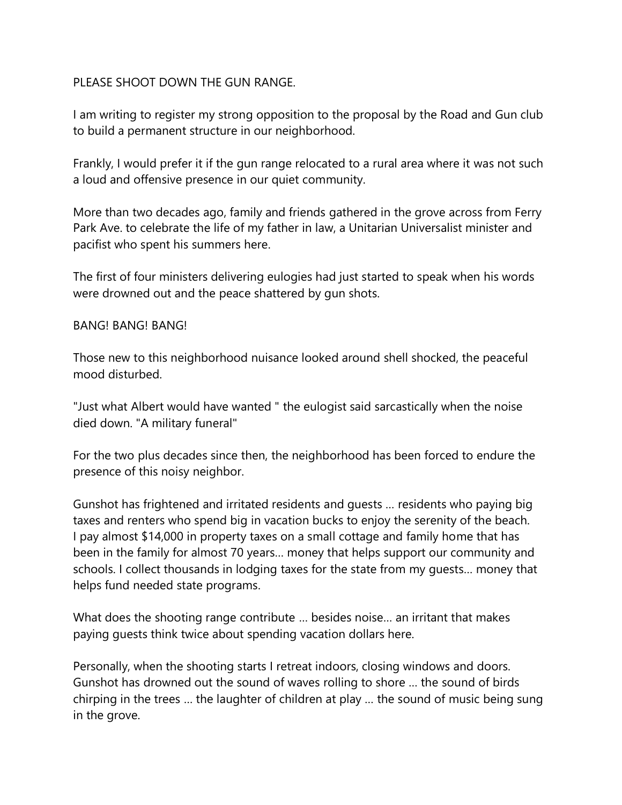## PLEASE SHOOT DOWN THE GUN RANGE.

I am writing to register my strong opposition to the proposal by the Road and Gun club to build a permanent structure in our neighborhood.

Frankly, I would prefer it if the gun range relocated to a rural area where it was not such a loud and offensive presence in our quiet community.

More than two decades ago, family and friends gathered in the grove across from Ferry Park Ave. to celebrate the life of my father in law, a Unitarian Universalist minister and pacifist who spent his summers here.

The first of four ministers delivering eulogies had just started to speak when his words were drowned out and the peace shattered by gun shots.

## BANG! BANG! BANG!

Those new to this neighborhood nuisance looked around shell shocked, the peaceful mood disturbed.

"Just what Albert would have wanted " the eulogist said sarcastically when the noise died down. "A military funeral"

For the two plus decades since then, the neighborhood has been forced to endure the presence of this noisy neighbor.

Gunshot has frightened and irritated residents and guests … residents who paying big taxes and renters who spend big in vacation bucks to enjoy the serenity of the beach. I pay almost \$14,000 in property taxes on a small cottage and family home that has been in the family for almost 70 years… money that helps support our community and schools. I collect thousands in lodging taxes for the state from my guests… money that helps fund needed state programs.

What does the shooting range contribute … besides noise… an irritant that makes paying guests think twice about spending vacation dollars here.

Personally, when the shooting starts I retreat indoors, closing windows and doors. Gunshot has drowned out the sound of waves rolling to shore … the sound of birds chirping in the trees … the laughter of children at play … the sound of music being sung in the grove.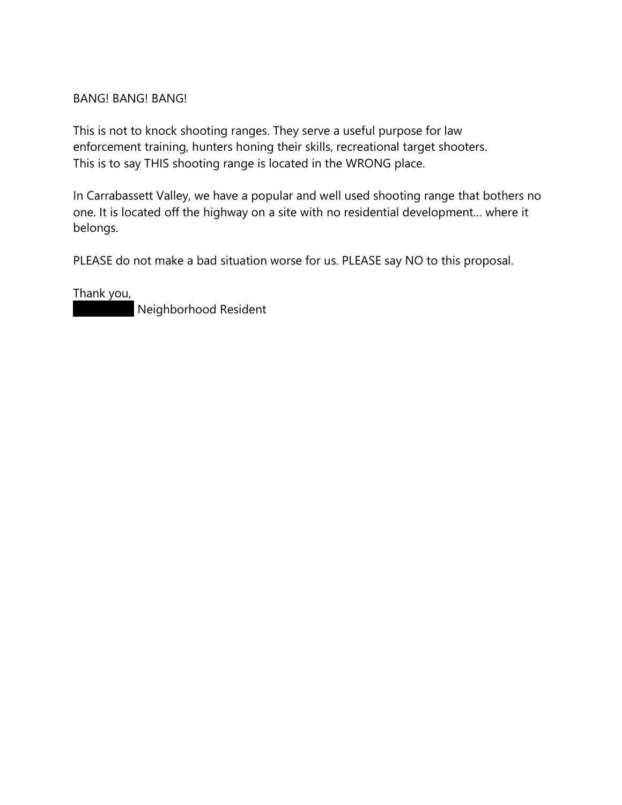## BANG! BANG! BANG!

This is not to knock shooting ranges. They serve a useful purpose for law enforcement training, hunters honing their skills, recreational target shooters. This is to say THIS shooting range is located in the WRONG place.

In Carrabassett Valley, we have a popular and well used shooting range that bothers no one. It is located off the highway on a site with no residential development… where it belongs.

PLEASE do not make a bad situation worse for us. PLEASE say NO to this proposal.

Thank you,

 $\big\vert$  Neighborhood Resident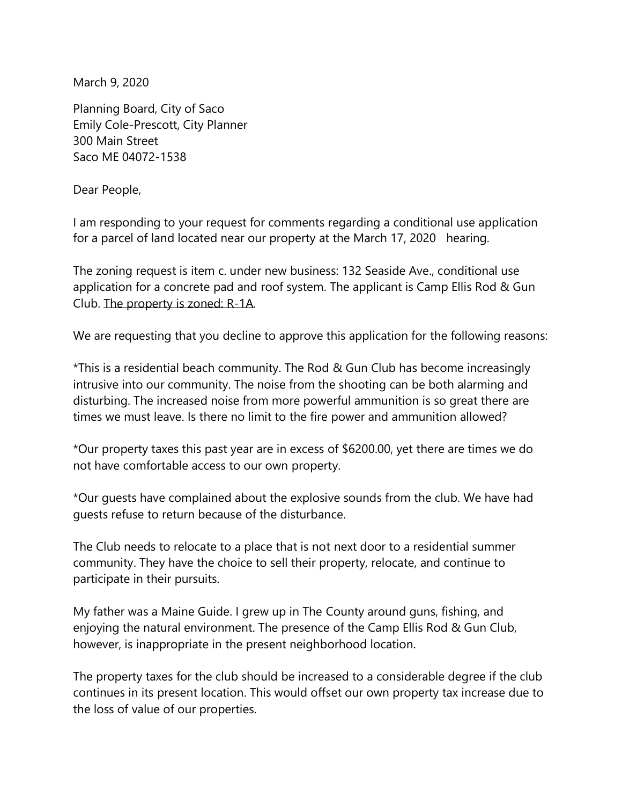March 9, 2020

Planning Board, City of Saco Emily Cole-Prescott, City Planner 300 Main Street Saco ME 04072-1538

Dear People,

I am responding to your request for comments regarding a conditional use application for a parcel of land located near our property at the March 17, 2020 hearing.

The zoning request is item c. under new business: 132 Seaside Ave., conditional use application for a concrete pad and roof system. The applicant is Camp Ellis Rod & Gun Club. The property is zoned: R-1A.

We are requesting that you decline to approve this application for the following reasons:

\*This is a residential beach community. The Rod & Gun Club has become increasingly intrusive into our community. The noise from the shooting can be both alarming and disturbing. The increased noise from more powerful ammunition is so great there are times we must leave. Is there no limit to the fire power and ammunition allowed?

\*Our property taxes this past year are in excess of \$6200.00, yet there are times we do not have comfortable access to our own property.

\*Our guests have complained about the explosive sounds from the club. We have had guests refuse to return because of the disturbance.

The Club needs to relocate to a place that is not next door to a residential summer community. They have the choice to sell their property, relocate, and continue to participate in their pursuits.

My father was a Maine Guide. I grew up in The County around guns, fishing, and enjoying the natural environment. The presence of the Camp Ellis Rod & Gun Club, however, is inappropriate in the present neighborhood location.

The property taxes for the club should be increased to a considerable degree if the club continues in its present location. This would offset our own property tax increase due to the loss of value of our properties.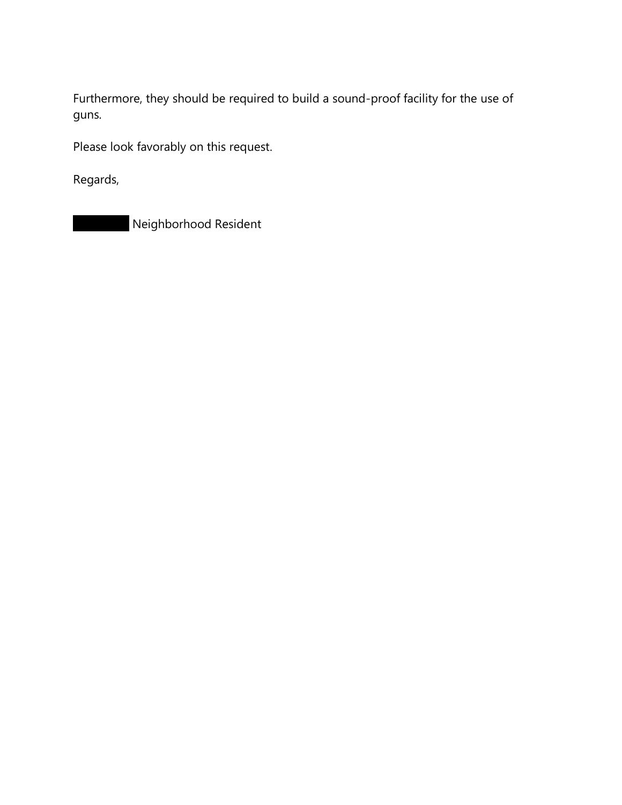Furthermore, they should be required to build a sound-proof facility for the use of guns.

Please look favorably on this request.

Regards,

Neighborhood Resident